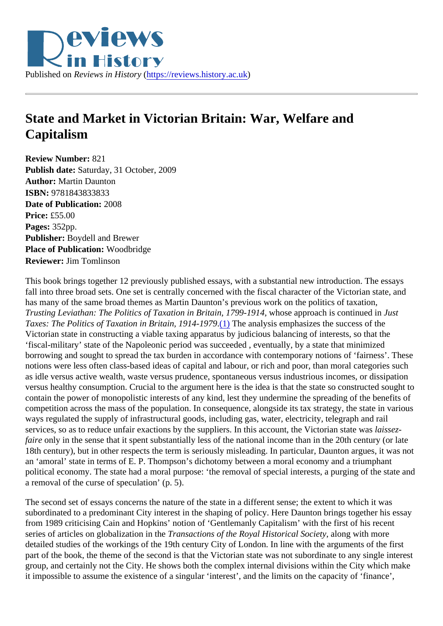## <span id="page-0-0"></span>State and Market in Victorian Britain: War, Welfare and **Capitalism**

Review Number: 821 Publish date: Saturday, 31 October, 2009 Author: Martin Daunton ISBN: 9781843833833 Date of Publication: 2008 Price: £55.00 Pages: 352pp. Publisher: Boydell and Brewer Place of Publication: Woodbridge Reviewer: Jim Tomlinson

This book brings together 12 previously published essays, with a substantial new introduction. The essays fall into three broad sets. One set is centrally concerned with the fiscal character of the Victorian state, and has many of the same broad themes as Martin Daunton's previous work on the politics of taxation, Trusting Leviathan: The Politics of Taxation in Britain, 1799-1,90 Mose approach is continued Junst Taxes: The Politics of Taxation in Britain, 1914-1[979](#page-2-0) The analysis emphasizes the success of the Victorian state in constructing a viable taxing apparatus by judicious balancing of interests, so that the 'fiscal-military' state of the Napoleonic period was succeeded , eventually, by a state that minimized borrowing and sought to spread the tax burden in accordance with contemporary notions of 'fairness'. The notions were less often class-based ideas of capital and labour, or rich and poor, than moral categories su as idle versus active wealth, waste versus prudence, spontaneous versus industrious incomes, or dissipat versus healthy consumption. Crucial to the argument here is the idea is that the state so constructed sought contain the power of monopolistic interests of any kind, lest they undermine the spreading of the benefits of competition across the mass of the population. In consequence, alongside its tax strategy, the state in various ways regulated the supply of infrastructural goods, including gas, water, electricity, telegraph and rail services, so as to reduce unfair exactions by the suppliers. In this account, the Victorian state exas faire only in the sense that it spent substantially less of the national income than in the 20th century (or late 18th century), but in other respects the term is seriously misleading. In particular, Daunton argues, it was n an 'amoral' state in terms of E. P. Thompson's dichotomy between a moral economy and a triumphant political economy. The state had a moral purpose: 'the removal of special interests, a purging of the state a removal of the curse of speculation' (p. 5).

The second set of essays concerns the nature of the state in a different sense; the extent to which it was subordinated to a predominant City interest in the shaping of policy. Here Daunton brings together his ess from 1989 criticising Cain and Hopkins' notion of 'Gentlemanly Capitalism' with the first of his recent series of articles on globalization in the ansactions of the Royal Historical Society ong with more detailed studies of the workings of the 19th century City of London. In line with the arguments of the first part of the book, the theme of the second is that the Victorian state was not subordinate to any single inter group, and certainly not the City. He shows both the complex internal divisions within the City which make it impossible to assume the existence of a singular 'interest', and the limits on the capacity of 'finance',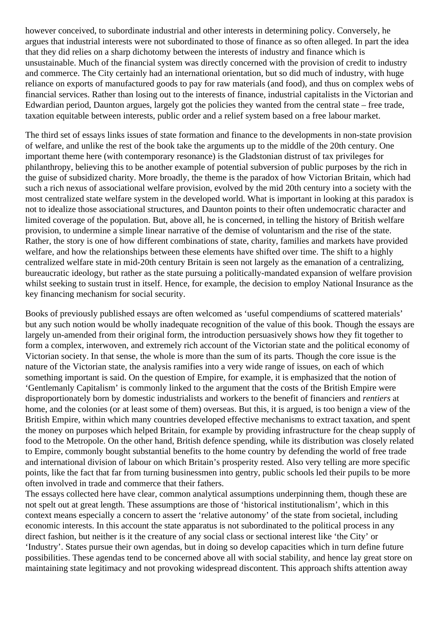however conceived, to subordinate industrial and other interests in determining policy. Conversely, he argues that industrial interests were not subordinated to those of finance as so often alleged. In part the idea that they did relies on a sharp dichotomy between the interests of industry and finance which is unsustainable. Much of the financial system was directly concerned with the provision of credit to industry and commerce. The City certainly had an international orientation, but so did much of industry, with huge reliance on exports of manufactured goods to pay for raw materials (and food), and thus on complex webs of financial services. Rather than losing out to the interests of finance, industrial capitalists in the Victorian and Edwardian period, Daunton argues, largely got the policies they wanted from the central state – free trade, taxation equitable between interests, public order and a relief system based on a free labour market.

The third set of essays links issues of state formation and finance to the developments in non-state provision of welfare, and unlike the rest of the book take the arguments up to the middle of the 20th century. One important theme here (with contemporary resonance) is the Gladstonian distrust of tax privileges for philanthropy, believing this to be another example of potential subversion of public purposes by the rich in the guise of subsidized charity. More broadly, the theme is the paradox of how Victorian Britain, which had such a rich nexus of associational welfare provision, evolved by the mid 20th century into a society with the most centralized state welfare system in the developed world. What is important in looking at this paradox is not to idealize those associational structures, and Daunton points to their often undemocratic character and limited coverage of the population. But, above all, he is concerned, in telling the history of British welfare provision, to undermine a simple linear narrative of the demise of voluntarism and the rise of the state. Rather, the story is one of how different combinations of state, charity, families and markets have provided welfare, and how the relationships between these elements have shifted over time. The shift to a highly centralized welfare state in mid-20th century Britain is seen not largely as the emanation of a centralizing, bureaucratic ideology, but rather as the state pursuing a politically-mandated expansion of welfare provision whilst seeking to sustain trust in itself. Hence, for example, the decision to employ National Insurance as the key financing mechanism for social security.

Books of previously published essays are often welcomed as 'useful compendiums of scattered materials' but any such notion would be wholly inadequate recognition of the value of this book. Though the essays are largely un-amended from their original form, the introduction persuasively shows how they fit together to form a complex, interwoven, and extremely rich account of the Victorian state and the political economy of Victorian society. In that sense, the whole is more than the sum of its parts. Though the core issue is the nature of the Victorian state, the analysis ramifies into a very wide range of issues, on each of which something important is said. On the question of Empire, for example, it is emphasized that the notion of 'Gentlemanly Capitalism' is commonly linked to the argument that the costs of the British Empire were disproportionately born by domestic industrialists and workers to the benefit of financiers and *rentiers* at home, and the colonies (or at least some of them) overseas. But this, it is argued, is too benign a view of the British Empire, within which many countries developed effective mechanisms to extract taxation, and spent the money on purposes which helped Britain, for example by providing infrastructure for the cheap supply of food to the Metropole. On the other hand, British defence spending, while its distribution was closely related to Empire, commonly bought substantial benefits to the home country by defending the world of free trade and international division of labour on which Britain's prosperity rested. Also very telling are more specific points, like the fact that far from turning businessmen into gentry, public schools led their pupils to be more often involved in trade and commerce that their fathers.

The essays collected here have clear, common analytical assumptions underpinning them, though these are not spelt out at great length. These assumptions are those of 'historical institutionalism', which in this context means especially a concern to assert the 'relative autonomy' of the state from societal, including economic interests. In this account the state apparatus is not subordinated to the political process in any direct fashion, but neither is it the creature of any social class or sectional interest like 'the City' or 'Industry'. States pursue their own agendas, but in doing so develop capacities which in turn define future possibilities. These agendas tend to be concerned above all with social stability, and hence lay great store on maintaining state legitimacy and not provoking widespread discontent. This approach shifts attention away